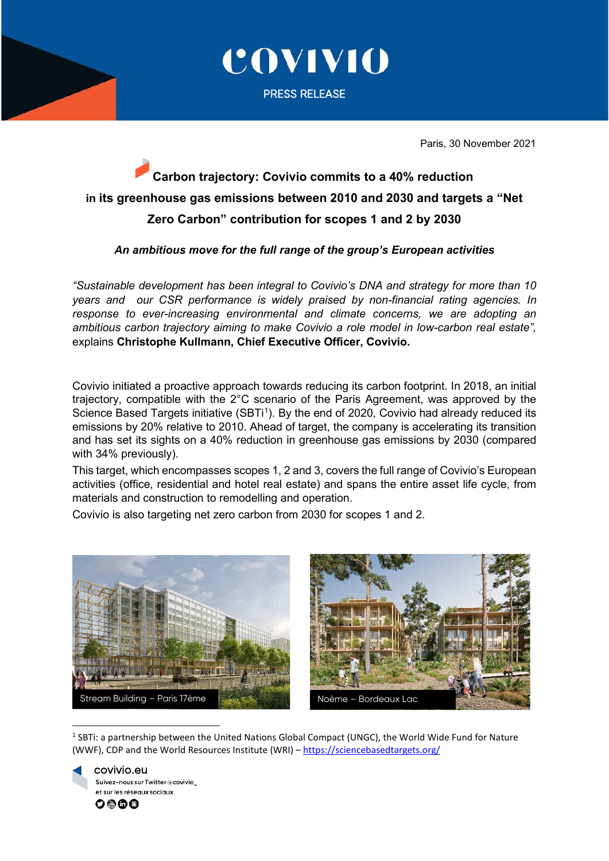

COVIVIO

PRESS RELEASE

Paris, 30 November 2021

# **Carbon trajectory: Covivio commits to a 40% reduction in its greenhouse gas emissions between 2010 and 2030 and targets a "Net Zero Carbon" contribution for scopes 1 and 2 by 2030**

# *An ambitious move for the full range of the group's European activities*

*"Sustainable development has been integral to Covivio's DNA and strategy for more than 10 years and our CSR performance is widely praised by non-financial rating agencies. In response to ever-increasing environmental and climate concerns, we are adopting an ambitious carbon trajectory aiming to make Covivio a role model in low-carbon real estate",*  explains **Christophe Kullmann, Chief Executive Officer, Covivio.** 

Covivio initiated a proactive approach towards reducing its carbon footprint. In 2018, an initial trajectory, compatible with the 2°C scenario of the Paris Agreement, was approved by the Science Based Targets initiative (SBTi<sup>1</sup>). By the end of 2020, Covivio had already reduced its emissions by 20% relative to 2010. Ahead of target, the company is accelerating its transition and has set its sights on a 40% reduction in greenhouse gas emissions by 2030 (compared with 34% previously).

This target, which encompasses scopes 1, 2 and 3, covers the full range of Covivio's European activities (office, residential and hotel real estate) and spans the entire asset life cycle, from materials and construction to remodelling and operation.

Covivio is also targeting net zero carbon from 2030 for scopes 1 and 2.



<span id="page-0-0"></span><sup>1</sup> SBTi: a partnership between the United Nations Global Compact (UNGC), the World Wide Fund for Nature (WWF), CDP and the World Resources Institute (WRI) – <https://sciencebasedtargets.org/>

 covivio.eu Suivez-nous sur Twitter @covivio et sur les réseaux sociaux 0000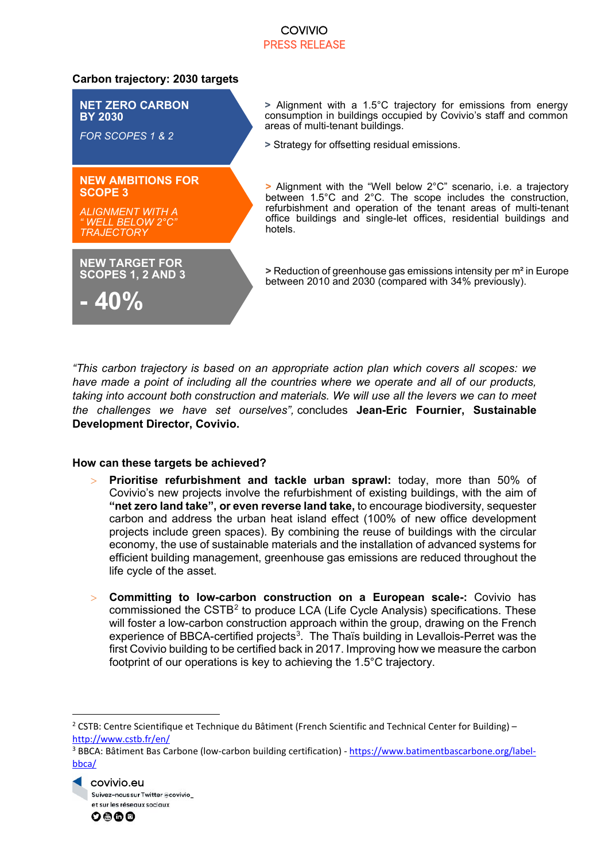# COVIVIO PRESS RELEASE

### **Carbon trajectory: 2030 targets**

hotels. **NET ZERO CARBON BY 2030** *FOR SCOPES 1 & 2* **NEW AMBITIONS FOR SCOPE 3** *ALIGNMENT WITH A " WELL BELOW 2°C" TRAJECTORY* **NEW TARGET FOR SCOPES 1, 2 AND 3 - 40%**

**>** Alignment with a 1.5°C trajectory for emissions from energy consumption in buildings occupied by Covivio's staff and common areas of multi-tenant buildings.

**>** Strategy for offsetting residual emissions.

**>** Alignment with the "Well below 2°C" scenario, i.e. a trajectory between 1.5°C and 2°C. The scope includes the construction, refurbishment and operation of the tenant areas of multi-tenant office buildings and single-let offices, residential buildings and

**>** Reduction of greenhouse gas emissions intensity per m² in Europe between 2010 and 2030 (compared with 34% previously).

*"This carbon trajectory is based on an appropriate action plan which covers all scopes: we have made a point of including all the countries where we operate and all of our products, taking into account both construction and materials. We will use all the levers we can to meet the challenges we have set ourselves",* concludes **Jean-Eric Fournier, Sustainable Development Director, Covivio.**

#### **How can these targets be achieved?**

- > **Prioritise refurbishment and tackle urban sprawl:** today, more than 50% of Covivio's new projects involve the refurbishment of existing buildings, with the aim of **"net zero land take", or even reverse land take,** to encourage biodiversity, sequester carbon and address the urban heat island effect (100% of new office development projects include green spaces). By combining the reuse of buildings with the circular economy, the use of sustainable materials and the installation of advanced systems for efficient building management, greenhouse gas emissions are reduced throughout the life cycle of the asset.
- > **Committing to low-carbon construction on a European scale-:** Covivio has commissioned the CSTB<sup>[2](#page-1-0)</sup> to produce LCA (Life Cycle Analysis) specifications. These will foster a low-carbon construction approach within the group, drawing on the French experience of BBCA-certified projects<sup>[3](#page-1-1)</sup>. The Thaïs building in Levallois-Perret was the first Covivio building to be certified back in 2017. Improving how we measure the carbon footprint of our operations is key to achieving the 1.5°C trajectory.

<span id="page-1-1"></span><sup>&</sup>lt;sup>3</sup> BBCA: Bâtiment Bas Carbone (low-carbon building certification) - [https://www.batimentbascarbone.org/label](https://www.batimentbascarbone.org/label-bbca/)[bbca/](https://www.batimentbascarbone.org/label-bbca/)





<span id="page-1-0"></span><sup>&</sup>lt;sup>2</sup> CSTB: Centre Scientifique et Technique du Bâtiment (French Scientific and Technical Center for Building) – <http://www.cstb.fr/en/>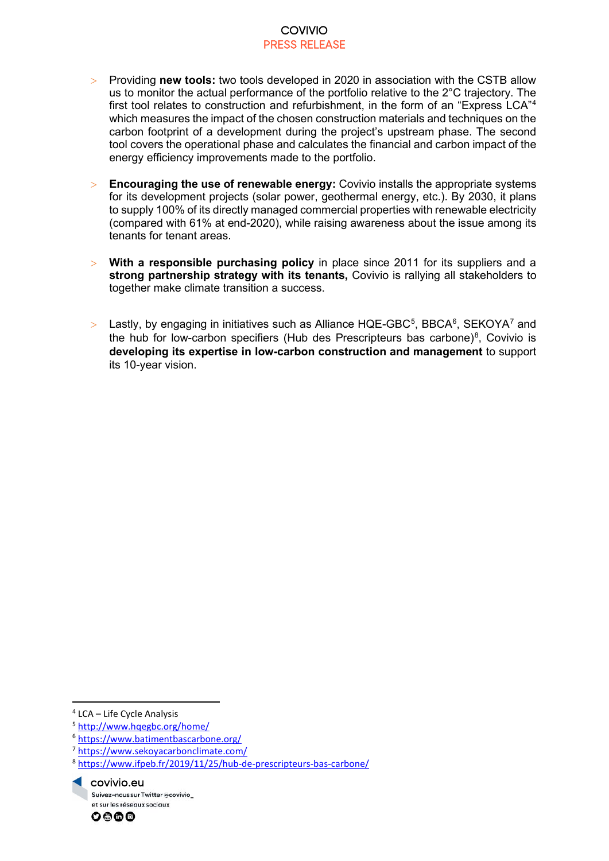#### COVIVIO PRESS RELEASE

- > Providing **new tools:** two tools developed in 2020 in association with the CSTB allow us to monitor the actual performance of the portfolio relative to the 2°C trajectory. The first tool relates to construction and refurbishment, in the form of an "Express LCA"[4](#page-2-0) which measures the impact of the chosen construction materials and techniques on the carbon footprint of a development during the project's upstream phase. The second tool covers the operational phase and calculates the financial and carbon impact of the energy efficiency improvements made to the portfolio.
- > **Encouraging the use of renewable energy:** Covivio installs the appropriate systems for its development projects (solar power, geothermal energy, etc.). By 2030, it plans to supply 100% of its directly managed commercial properties with renewable electricity (compared with 61% at end-2020), while raising awareness about the issue among its tenants for tenant areas.
- > **With a responsible purchasing policy** in place since 2011 for its suppliers and a **strong partnership strategy with its tenants,** Covivio is rallying all stakeholders to together make climate transition a success.
- $>$  Lastly, by engaging in initiatives such as Alliance HQE-GBC[5](#page-2-1), BBCA $^6$  $^6$ , SEKOYA $^7$  $^7$  and the hub for low-carbon specifiers (Hub des Prescripteurs bas carbone)<sup>[8](#page-2-4)</sup>, Covivio is **developing its expertise in low-carbon construction and management** to support its 10-year vision.

<span id="page-2-4"></span><sup>8</sup> <https://www.ifpeb.fr/2019/11/25/hub-de-prescripteurs-bas-carbone/>





<span id="page-2-0"></span><sup>4</sup> LCA – Life Cycle Analysis

<span id="page-2-1"></span><sup>5</sup> <http://www.hqegbc.org/home/>

<span id="page-2-2"></span><sup>6</sup> <https://www.batimentbascarbone.org/>

<span id="page-2-3"></span><sup>7</sup> <https://www.sekoyacarbonclimate.com/>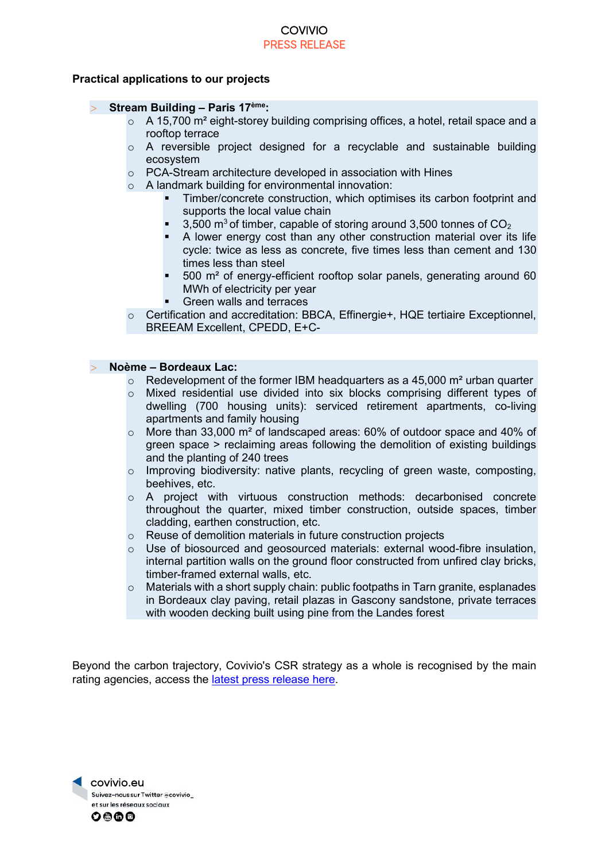#### COVIVIO PRESS RELEASE

#### **Practical applications to our projects**

#### > **Stream Building – Paris 17ème:**

- $\circ$  A 15,700 m<sup>2</sup> eight-storey building comprising offices, a hotel, retail space and a rooftop terrace
- o A reversible project designed for a recyclable and sustainable building ecosystem
- o PCA-Stream architecture developed in association with Hines
- o A landmark building for environmental innovation:
	- Timber/concrete construction, which optimises its carbon footprint and supports the local value chain
	- 3,500  $\text{m}^3$  of timber, capable of storing around 3,500 tonnes of  $\text{CO}_2$
	- A lower energy cost than any other construction material over its life cycle: twice as less as concrete, five times less than cement and 130 times less than steel
	- 500 m² of energy-efficient rooftop solar panels, generating around 60 MWh of electricity per year
	- Green walls and terraces
- o Certification and accreditation: BBCA, Effinergie+, HQE tertiaire Exceptionnel, BREEAM Excellent, CPEDD, E+C-

#### > **Noème – Bordeaux Lac:**

- $\circ$  Redevelopment of the former IBM headquarters as a 45,000 m<sup>2</sup> urban quarter
- $\circ$  Mixed residential use divided into six blocks comprising different types of dwelling (700 housing units): serviced retirement apartments, co-living apartments and family housing
- $\circ$  More than 33,000 m<sup>2</sup> of landscaped areas: 60% of outdoor space and 40% of green space > reclaiming areas following the demolition of existing buildings and the planting of 240 trees
- o Improving biodiversity: native plants, recycling of green waste, composting, beehives, etc.
- o A project with virtuous construction methods: decarbonised concrete throughout the quarter, mixed timber construction, outside spaces, timber cladding, earthen construction, etc.
- o Reuse of demolition materials in future construction projects
- o Use of biosourced and geosourced materials: external wood-fibre insulation, internal partition walls on the ground floor constructed from unfired clay bricks, timber-framed external walls, etc.
- o Materials with a short supply chain: public footpaths in Tarn granite, esplanades in Bordeaux clay paving, retail plazas in Gascony sandstone, private terraces with wooden decking built using pine from the Landes forest

Beyond the carbon trajectory, Covivio's CSR strategy as a whole is recognised by the main rating agencies, access the [latest press release here.](https://www.covivio.eu/en/2021/11/29/esg-rating-covivio-positioned-as-sector-leader-by-sp-global-and-v-e/)

covivio.eu Suivez-nous sur Twitter @covivio\_ et sur les réseaux sociaux  $\circ$ eoo